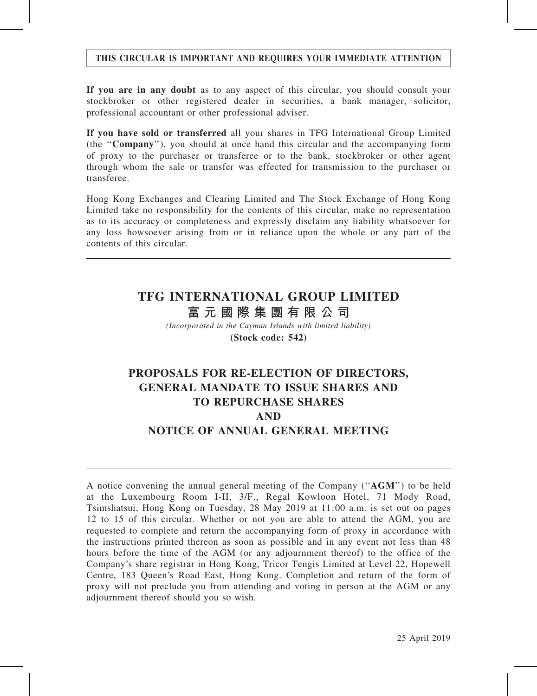## THIS CIRCULAR IS IMPORTANT AND REQUIRES YOUR IMMEDIATE ATTENTION

If you are in any doubt as to any aspect of this circular, you should consult your stockbroker or other registered dealer in securities, a bank manager, solicitor, professional accountant or other professional adviser.

If you have sold or transferred all your shares in TFG International Group Limited (the ''Company''), you should at once hand this circular and the accompanying form of proxy to the purchaser or transferee or to the bank, stockbroker or other agent through whom the sale or transfer was effected for transmission to the purchaser or transferee.

Hong Kong Exchanges and Clearing Limited and The Stock Exchange of Hong Kong Limited take no responsibility for the contents of this circular, make no representation as to its accuracy or completeness and expressly disclaim any liability whatsoever for any loss howsoever arising from or in reliance upon the whole or any part of the contents of this circular.

# TFG INTERNATIONAL GROUP LIMITED

富 元 國 際 集 團 有 限 公 司

(Incorporated in the Cayman Islands with limited liability) (Stock code: 542)

# PROPOSALS FOR RE-ELECTION OF DIRECTORS, GENERAL MANDATE TO ISSUE SHARES AND TO REPURCHASE SHARES AND NOTICE OF ANNUAL GENERAL MEETING

A notice convening the annual general meeting of the Company (''AGM'') to be held at the Luxembourg Room I-II, 3/F., Regal Kowloon Hotel, 71 Mody Road, Tsimshatsui, Hong Kong on Tuesday, 28 May 2019 at 11:00 a.m. is set out on pages 12 to 15 of this circular. Whether or not you are able to attend the AGM, you are requested to complete and return the accompanying form of proxy in accordance with the instructions printed thereon as soon as possible and in any event not less than 48 hours before the time of the AGM (or any adjournment thereof) to the office of the Company's share registrar in Hong Kong, Tricor Tengis Limited at Level 22, Hopewell Centre, 183 Queen's Road East, Hong Kong. Completion and return of the form of proxy will not preclude you from attending and voting in person at the AGM or any adjournment thereof should you so wish.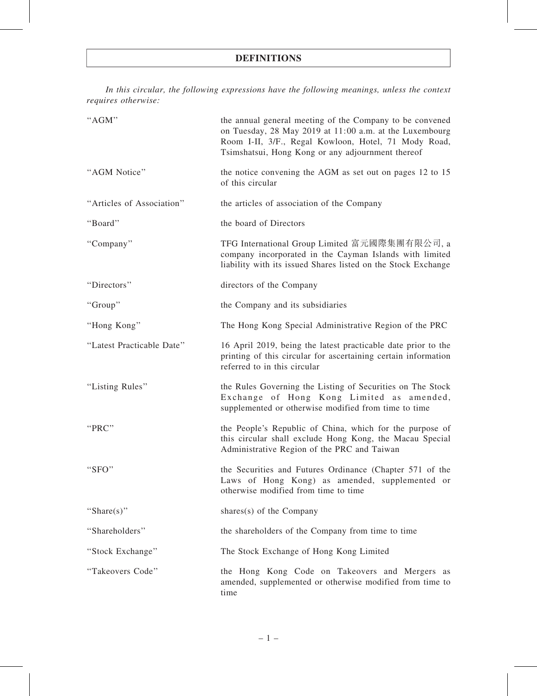In this circular, the following expressions have the following meanings, unless the context requires otherwise:

| "AGM"                     | the annual general meeting of the Company to be convened<br>on Tuesday, 28 May 2019 at 11:00 a.m. at the Luxembourg<br>Room I-II, 3/F., Regal Kowloon, Hotel, 71 Mody Road,<br>Tsimshatsui, Hong Kong or any adjournment thereof |
|---------------------------|----------------------------------------------------------------------------------------------------------------------------------------------------------------------------------------------------------------------------------|
| "AGM Notice"              | the notice convening the AGM as set out on pages 12 to 15<br>of this circular                                                                                                                                                    |
| "Articles of Association" | the articles of association of the Company                                                                                                                                                                                       |
| "Board"                   | the board of Directors                                                                                                                                                                                                           |
| "Company"                 | TFG International Group Limited 富元國際集團有限公司, a<br>company incorporated in the Cayman Islands with limited<br>liability with its issued Shares listed on the Stock Exchange                                                        |
| "Directors"               | directors of the Company                                                                                                                                                                                                         |
| "Group"                   | the Company and its subsidiaries                                                                                                                                                                                                 |
| "Hong Kong"               | The Hong Kong Special Administrative Region of the PRC                                                                                                                                                                           |
| "Latest Practicable Date" | 16 April 2019, being the latest practicable date prior to the<br>printing of this circular for ascertaining certain information<br>referred to in this circular                                                                  |
| "Listing Rules"           | the Rules Governing the Listing of Securities on The Stock<br>Exchange of Hong Kong Limited as amended,<br>supplemented or otherwise modified from time to time                                                                  |
| "PRC"                     | the People's Republic of China, which for the purpose of<br>this circular shall exclude Hong Kong, the Macau Special<br>Administrative Region of the PRC and Taiwan                                                              |
| " $SFO"$                  | the Securities and Futures Ordinance (Chapter 571 of the<br>Laws of Hong Kong) as amended, supplemented or<br>otherwise modified from time to time                                                                               |
| "Share(s)"                | shares $(s)$ of the Company                                                                                                                                                                                                      |
| "Shareholders"            | the shareholders of the Company from time to time                                                                                                                                                                                |
| "Stock Exchange"          | The Stock Exchange of Hong Kong Limited                                                                                                                                                                                          |
| "Takeovers Code"          | the Hong Kong Code on Takeovers and Mergers as<br>amended, supplemented or otherwise modified from time to<br>time                                                                                                               |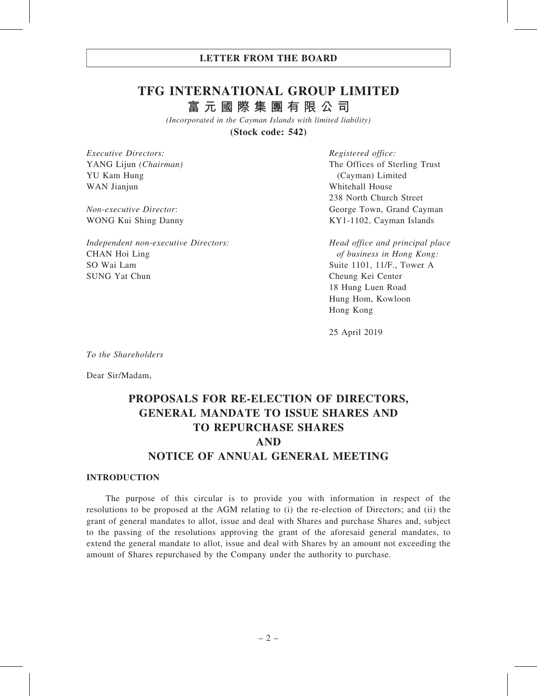# TFG INTERNATIONAL GROUP LIMITED 富 元 國 際 集 團 有 限 公 司

(Incorporated in the Cayman Islands with limited liability) (Stock code: 542)

Executive Directors: YANG Lijun (Chairman) YU Kam Hung WAN Jianjun

Non-executive Director: WONG Kui Shing Danny

Independent non-executive Directors: CHAN Hoi Ling SO Wai Lam SUNG Yat Chun

Registered office: The Offices of Sterling Trust (Cayman) Limited Whitehall House 238 North Church Street George Town, Grand Cayman KY1-1102, Cayman Islands

Head office and principal place of business in Hong Kong: Suite 1101, 11/F., Tower A Cheung Kei Center 18 Hung Luen Road Hung Hom, Kowloon Hong Kong

25 April 2019

To the Shareholders

Dear Sir/Madam,

# PROPOSALS FOR RE-ELECTION OF DIRECTORS, GENERAL MANDATE TO ISSUE SHARES AND TO REPURCHASE SHARES AND NOTICE OF ANNUAL GENERAL MEETING

#### INTRODUCTION

The purpose of this circular is to provide you with information in respect of the resolutions to be proposed at the AGM relating to (i) the re-election of Directors; and (ii) the grant of general mandates to allot, issue and deal with Shares and purchase Shares and, subject to the passing of the resolutions approving the grant of the aforesaid general mandates, to extend the general mandate to allot, issue and deal with Shares by an amount not exceeding the amount of Shares repurchased by the Company under the authority to purchase.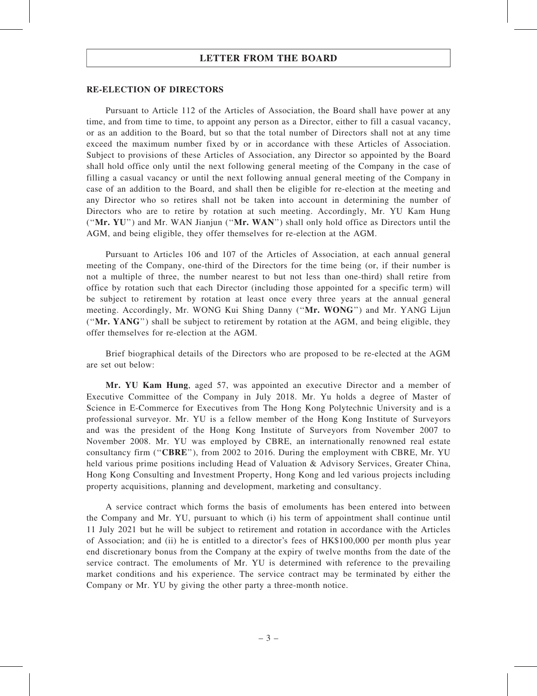#### RE-ELECTION OF DIRECTORS

Pursuant to Article 112 of the Articles of Association, the Board shall have power at any time, and from time to time, to appoint any person as a Director, either to fill a casual vacancy, or as an addition to the Board, but so that the total number of Directors shall not at any time exceed the maximum number fixed by or in accordance with these Articles of Association. Subject to provisions of these Articles of Association, any Director so appointed by the Board shall hold office only until the next following general meeting of the Company in the case of filling a casual vacancy or until the next following annual general meeting of the Company in case of an addition to the Board, and shall then be eligible for re-election at the meeting and any Director who so retires shall not be taken into account in determining the number of Directors who are to retire by rotation at such meeting. Accordingly, Mr. YU Kam Hung (''Mr. YU'') and Mr. WAN Jianjun (''Mr. WAN'') shall only hold office as Directors until the AGM, and being eligible, they offer themselves for re-election at the AGM.

Pursuant to Articles 106 and 107 of the Articles of Association, at each annual general meeting of the Company, one-third of the Directors for the time being (or, if their number is not a multiple of three, the number nearest to but not less than one-third) shall retire from office by rotation such that each Director (including those appointed for a specific term) will be subject to retirement by rotation at least once every three years at the annual general meeting. Accordingly, Mr. WONG Kui Shing Danny (''Mr. WONG'') and Mr. YANG Lijun (''Mr. YANG'') shall be subject to retirement by rotation at the AGM, and being eligible, they offer themselves for re-election at the AGM.

Brief biographical details of the Directors who are proposed to be re-elected at the AGM are set out below:

Mr. YU Kam Hung, aged 57, was appointed an executive Director and a member of Executive Committee of the Company in July 2018. Mr. Yu holds a degree of Master of Science in E-Commerce for Executives from The Hong Kong Polytechnic University and is a professional surveyor. Mr. YU is a fellow member of the Hong Kong Institute of Surveyors and was the president of the Hong Kong Institute of Surveyors from November 2007 to November 2008. Mr. YU was employed by CBRE, an internationally renowned real estate consultancy firm (''CBRE''), from 2002 to 2016. During the employment with CBRE, Mr. YU held various prime positions including Head of Valuation & Advisory Services, Greater China, Hong Kong Consulting and Investment Property, Hong Kong and led various projects including property acquisitions, planning and development, marketing and consultancy.

A service contract which forms the basis of emoluments has been entered into between the Company and Mr. YU, pursuant to which (i) his term of appointment shall continue until 11 July 2021 but he will be subject to retirement and rotation in accordance with the Articles of Association; and (ii) he is entitled to a director's fees of HK\$100,000 per month plus year end discretionary bonus from the Company at the expiry of twelve months from the date of the service contract. The emoluments of Mr. YU is determined with reference to the prevailing market conditions and his experience. The service contract may be terminated by either the Company or Mr. YU by giving the other party a three-month notice.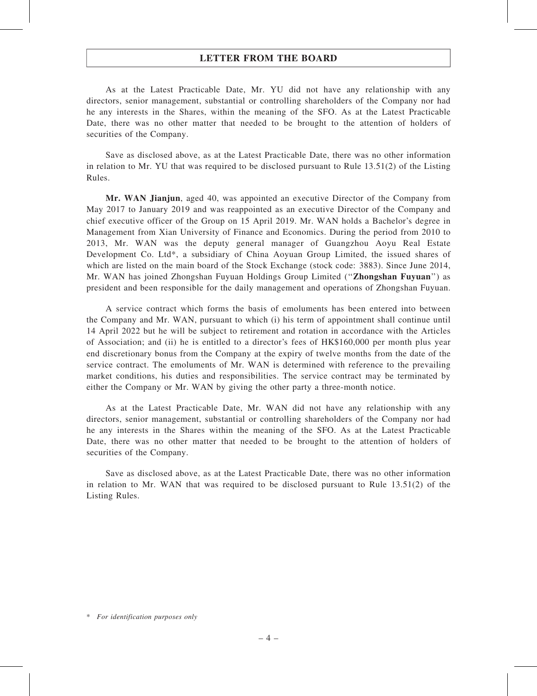As at the Latest Practicable Date, Mr. YU did not have any relationship with any directors, senior management, substantial or controlling shareholders of the Company nor had he any interests in the Shares, within the meaning of the SFO. As at the Latest Practicable Date, there was no other matter that needed to be brought to the attention of holders of securities of the Company.

Save as disclosed above, as at the Latest Practicable Date, there was no other information in relation to Mr. YU that was required to be disclosed pursuant to Rule 13.51(2) of the Listing Rules.

Mr. WAN Jianjun, aged 40, was appointed an executive Director of the Company from May 2017 to January 2019 and was reappointed as an executive Director of the Company and chief executive officer of the Group on 15 April 2019. Mr. WAN holds a Bachelor's degree in Management from Xian University of Finance and Economics. During the period from 2010 to 2013, Mr. WAN was the deputy general manager of Guangzhou Aoyu Real Estate Development Co. Ltd\*, a subsidiary of China Aoyuan Group Limited, the issued shares of which are listed on the main board of the Stock Exchange (stock code: 3883). Since June 2014, Mr. WAN has joined Zhongshan Fuyuan Holdings Group Limited (''Zhongshan Fuyuan'') as president and been responsible for the daily management and operations of Zhongshan Fuyuan.

A service contract which forms the basis of emoluments has been entered into between the Company and Mr. WAN, pursuant to which (i) his term of appointment shall continue until 14 April 2022 but he will be subject to retirement and rotation in accordance with the Articles of Association; and (ii) he is entitled to a director's fees of HK\$160,000 per month plus year end discretionary bonus from the Company at the expiry of twelve months from the date of the service contract. The emoluments of Mr. WAN is determined with reference to the prevailing market conditions, his duties and responsibilities. The service contract may be terminated by either the Company or Mr. WAN by giving the other party a three-month notice.

As at the Latest Practicable Date, Mr. WAN did not have any relationship with any directors, senior management, substantial or controlling shareholders of the Company nor had he any interests in the Shares within the meaning of the SFO. As at the Latest Practicable Date, there was no other matter that needed to be brought to the attention of holders of securities of the Company.

Save as disclosed above, as at the Latest Practicable Date, there was no other information in relation to Mr. WAN that was required to be disclosed pursuant to Rule 13.51(2) of the Listing Rules.

<sup>\*</sup> For identification purposes only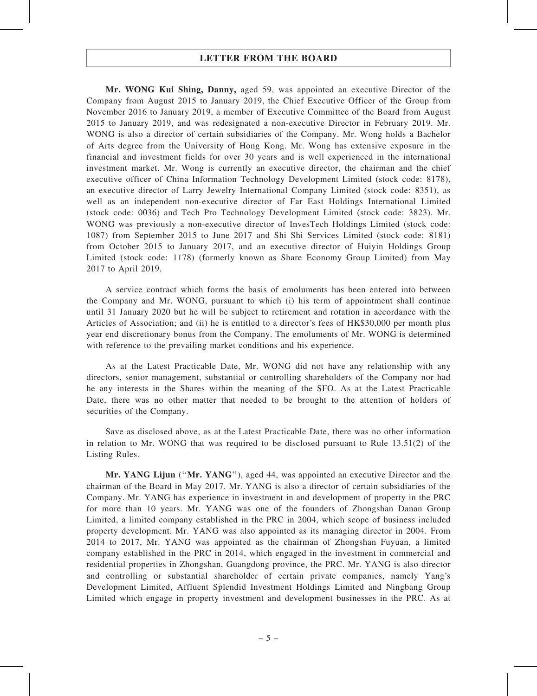Mr. WONG Kui Shing, Danny, aged 59, was appointed an executive Director of the Company from August 2015 to January 2019, the Chief Executive Officer of the Group from November 2016 to January 2019, a member of Executive Committee of the Board from August 2015 to January 2019, and was redesignated a non-executive Director in February 2019. Mr. WONG is also a director of certain subsidiaries of the Company. Mr. Wong holds a Bachelor of Arts degree from the University of Hong Kong. Mr. Wong has extensive exposure in the financial and investment fields for over 30 years and is well experienced in the international investment market. Mr. Wong is currently an executive director, the chairman and the chief executive officer of China Information Technology Development Limited (stock code: 8178), an executive director of Larry Jewelry International Company Limited (stock code: 8351), as well as an independent non-executive director of Far East Holdings International Limited (stock code: 0036) and Tech Pro Technology Development Limited (stock code: 3823). Mr. WONG was previously a non-executive director of InvesTech Holdings Limited (stock code: 1087) from September 2015 to June 2017 and Shi Shi Services Limited (stock code: 8181) from October 2015 to January 2017, and an executive director of Huiyin Holdings Group Limited (stock code: 1178) (formerly known as Share Economy Group Limited) from May 2017 to April 2019.

A service contract which forms the basis of emoluments has been entered into between the Company and Mr. WONG, pursuant to which (i) his term of appointment shall continue until 31 January 2020 but he will be subject to retirement and rotation in accordance with the Articles of Association; and (ii) he is entitled to a director's fees of HK\$30,000 per month plus year end discretionary bonus from the Company. The emoluments of Mr. WONG is determined with reference to the prevailing market conditions and his experience.

As at the Latest Practicable Date, Mr. WONG did not have any relationship with any directors, senior management, substantial or controlling shareholders of the Company nor had he any interests in the Shares within the meaning of the SFO. As at the Latest Practicable Date, there was no other matter that needed to be brought to the attention of holders of securities of the Company.

Save as disclosed above, as at the Latest Practicable Date, there was no other information in relation to Mr. WONG that was required to be disclosed pursuant to Rule 13.51(2) of the Listing Rules.

Mr. YANG Lijun ("Mr. YANG"), aged 44, was appointed an executive Director and the chairman of the Board in May 2017. Mr. YANG is also a director of certain subsidiaries of the Company. Mr. YANG has experience in investment in and development of property in the PRC for more than 10 years. Mr. YANG was one of the founders of Zhongshan Danan Group Limited, a limited company established in the PRC in 2004, which scope of business included property development. Mr. YANG was also appointed as its managing director in 2004. From 2014 to 2017, Mr. YANG was appointed as the chairman of Zhongshan Fuyuan, a limited company established in the PRC in 2014, which engaged in the investment in commercial and residential properties in Zhongshan, Guangdong province, the PRC. Mr. YANG is also director and controlling or substantial shareholder of certain private companies, namely Yang's Development Limited, Affluent Splendid Investment Holdings Limited and Ningbang Group Limited which engage in property investment and development businesses in the PRC. As at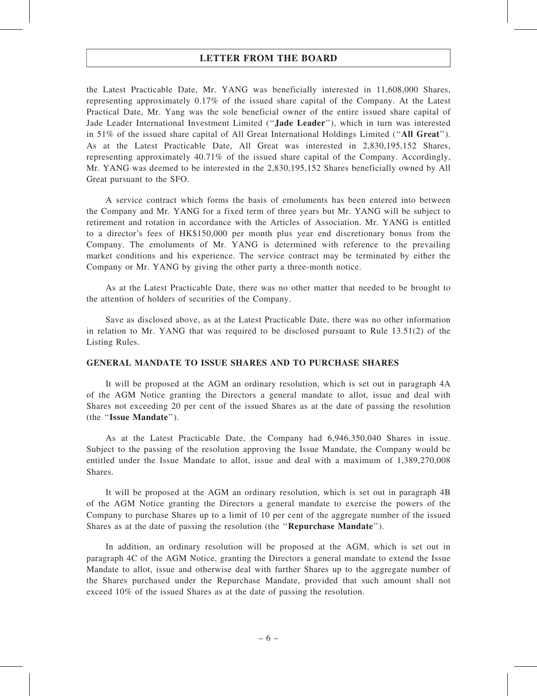the Latest Practicable Date, Mr. YANG was beneficially interested in 11,608,000 Shares, representing approximately 0.17% of the issued share capital of the Company. At the Latest Practical Date, Mr. Yang was the sole beneficial owner of the entire issued share capital of Jade Leader International Investment Limited (''Jade Leader''), which in turn was interested in 51% of the issued share capital of All Great International Holdings Limited (''All Great''). As at the Latest Practicable Date, All Great was interested in 2,830,195,152 Shares, representing approximately 40.71% of the issued share capital of the Company. Accordingly, Mr. YANG was deemed to be interested in the 2,830,195,152 Shares beneficially owned by All Great pursuant to the SFO.

A service contract which forms the basis of emoluments has been entered into between the Company and Mr. YANG for a fixed term of three years but Mr. YANG will be subject to retirement and rotation in accordance with the Articles of Association. Mr. YANG is entitled to a director's fees of HK\$150,000 per month plus year end discretionary bonus from the Company. The emoluments of Mr. YANG is determined with reference to the prevailing market conditions and his experience. The service contract may be terminated by either the Company or Mr. YANG by giving the other party a three-month notice.

As at the Latest Practicable Date, there was no other matter that needed to be brought to the attention of holders of securities of the Company.

Save as disclosed above, as at the Latest Practicable Date, there was no other information in relation to Mr. YANG that was required to be disclosed pursuant to Rule 13.51(2) of the Listing Rules.

#### GENERAL MANDATE TO ISSUE SHARES AND TO PURCHASE SHARES

It will be proposed at the AGM an ordinary resolution, which is set out in paragraph 4A of the AGM Notice granting the Directors a general mandate to allot, issue and deal with Shares not exceeding 20 per cent of the issued Shares as at the date of passing the resolution (the ''Issue Mandate'').

As at the Latest Practicable Date, the Company had 6,946,350,040 Shares in issue. Subject to the passing of the resolution approving the Issue Mandate, the Company would be entitled under the Issue Mandate to allot, issue and deal with a maximum of 1,389,270,008 **Shares**.

It will be proposed at the AGM an ordinary resolution, which is set out in paragraph 4B of the AGM Notice granting the Directors a general mandate to exercise the powers of the Company to purchase Shares up to a limit of 10 per cent of the aggregate number of the issued Shares as at the date of passing the resolution (the ''Repurchase Mandate'').

In addition, an ordinary resolution will be proposed at the AGM, which is set out in paragraph 4C of the AGM Notice, granting the Directors a general mandate to extend the Issue Mandate to allot, issue and otherwise deal with further Shares up to the aggregate number of the Shares purchased under the Repurchase Mandate, provided that such amount shall not exceed 10% of the issued Shares as at the date of passing the resolution.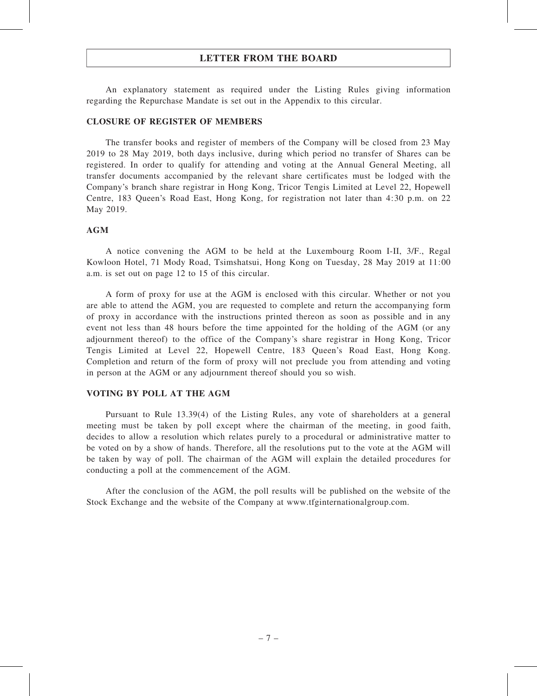An explanatory statement as required under the Listing Rules giving information regarding the Repurchase Mandate is set out in the Appendix to this circular.

#### CLOSURE OF REGISTER OF MEMBERS

The transfer books and register of members of the Company will be closed from 23 May 2019 to 28 May 2019, both days inclusive, during which period no transfer of Shares can be registered. In order to qualify for attending and voting at the Annual General Meeting, all transfer documents accompanied by the relevant share certificates must be lodged with the Company's branch share registrar in Hong Kong, Tricor Tengis Limited at Level 22, Hopewell Centre, 183 Queen's Road East, Hong Kong, for registration not later than 4:30 p.m. on 22 May 2019.

#### AGM

A notice convening the AGM to be held at the Luxembourg Room I-II, 3/F., Regal Kowloon Hotel, 71 Mody Road, Tsimshatsui, Hong Kong on Tuesday, 28 May 2019 at 11:00 a.m. is set out on page 12 to 15 of this circular.

A form of proxy for use at the AGM is enclosed with this circular. Whether or not you are able to attend the AGM, you are requested to complete and return the accompanying form of proxy in accordance with the instructions printed thereon as soon as possible and in any event not less than 48 hours before the time appointed for the holding of the AGM (or any adjournment thereof) to the office of the Company's share registrar in Hong Kong, Tricor Tengis Limited at Level 22, Hopewell Centre, 183 Queen's Road East, Hong Kong. Completion and return of the form of proxy will not preclude you from attending and voting in person at the AGM or any adjournment thereof should you so wish.

#### VOTING BY POLL AT THE AGM

Pursuant to Rule 13.39(4) of the Listing Rules, any vote of shareholders at a general meeting must be taken by poll except where the chairman of the meeting, in good faith, decides to allow a resolution which relates purely to a procedural or administrative matter to be voted on by a show of hands. Therefore, all the resolutions put to the vote at the AGM will be taken by way of poll. The chairman of the AGM will explain the detailed procedures for conducting a poll at the commencement of the AGM.

After the conclusion of the AGM, the poll results will be published on the website of the Stock Exchange and the website of the Company at www.tfginternationalgroup.com.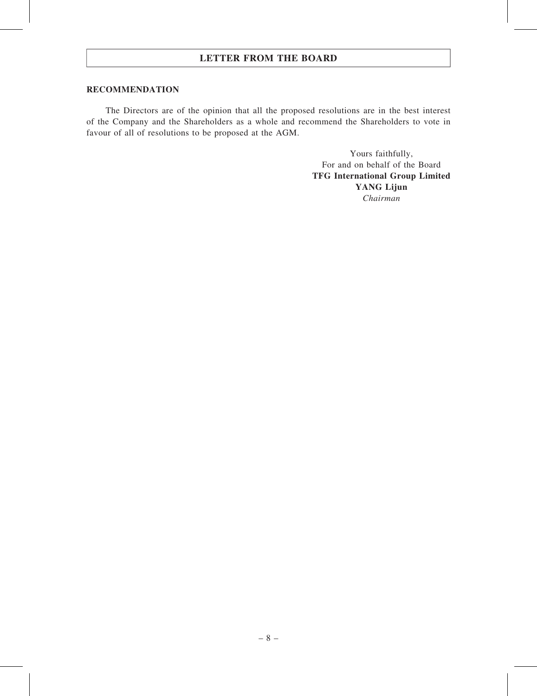#### RECOMMENDATION

The Directors are of the opinion that all the proposed resolutions are in the best interest of the Company and the Shareholders as a whole and recommend the Shareholders to vote in favour of all of resolutions to be proposed at the AGM.

> Yours faithfully, For and on behalf of the Board TFG International Group Limited YANG Lijun Chairman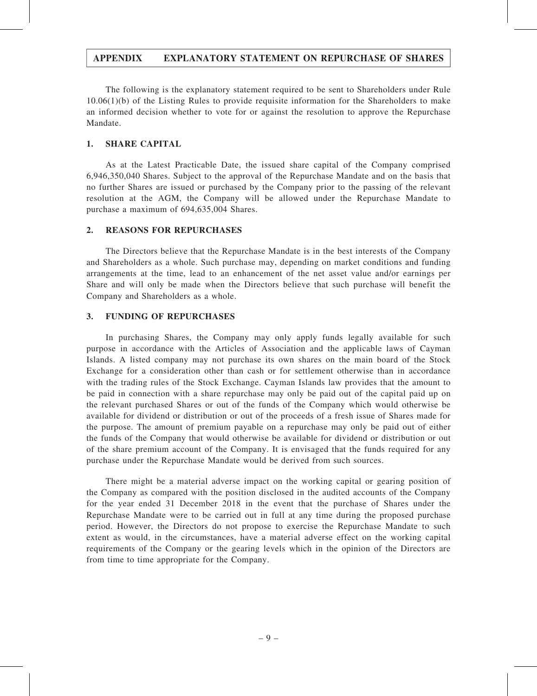## APPENDIX EXPLANATORY STATEMENT ON REPURCHASE OF SHARES

The following is the explanatory statement required to be sent to Shareholders under Rule 10.06(1)(b) of the Listing Rules to provide requisite information for the Shareholders to make an informed decision whether to vote for or against the resolution to approve the Repurchase Mandate.

#### 1. SHARE CAPITAL

As at the Latest Practicable Date, the issued share capital of the Company comprised 6,946,350,040 Shares. Subject to the approval of the Repurchase Mandate and on the basis that no further Shares are issued or purchased by the Company prior to the passing of the relevant resolution at the AGM, the Company will be allowed under the Repurchase Mandate to purchase a maximum of 694,635,004 Shares.

#### 2. REASONS FOR REPURCHASES

The Directors believe that the Repurchase Mandate is in the best interests of the Company and Shareholders as a whole. Such purchase may, depending on market conditions and funding arrangements at the time, lead to an enhancement of the net asset value and/or earnings per Share and will only be made when the Directors believe that such purchase will benefit the Company and Shareholders as a whole.

#### 3. FUNDING OF REPURCHASES

In purchasing Shares, the Company may only apply funds legally available for such purpose in accordance with the Articles of Association and the applicable laws of Cayman Islands. A listed company may not purchase its own shares on the main board of the Stock Exchange for a consideration other than cash or for settlement otherwise than in accordance with the trading rules of the Stock Exchange. Cayman Islands law provides that the amount to be paid in connection with a share repurchase may only be paid out of the capital paid up on the relevant purchased Shares or out of the funds of the Company which would otherwise be available for dividend or distribution or out of the proceeds of a fresh issue of Shares made for the purpose. The amount of premium payable on a repurchase may only be paid out of either the funds of the Company that would otherwise be available for dividend or distribution or out of the share premium account of the Company. It is envisaged that the funds required for any purchase under the Repurchase Mandate would be derived from such sources.

There might be a material adverse impact on the working capital or gearing position of the Company as compared with the position disclosed in the audited accounts of the Company for the year ended 31 December 2018 in the event that the purchase of Shares under the Repurchase Mandate were to be carried out in full at any time during the proposed purchase period. However, the Directors do not propose to exercise the Repurchase Mandate to such extent as would, in the circumstances, have a material adverse effect on the working capital requirements of the Company or the gearing levels which in the opinion of the Directors are from time to time appropriate for the Company.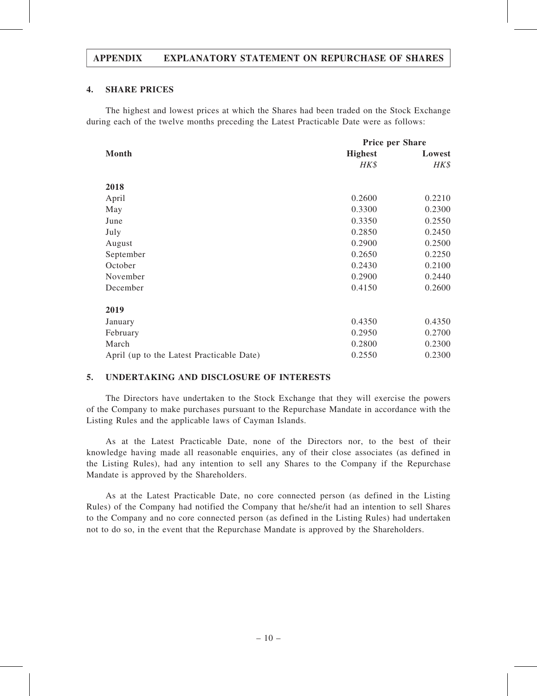## APPENDIX EXPLANATORY STATEMENT ON REPURCHASE OF SHARES

#### 4. SHARE PRICES

The highest and lowest prices at which the Shares had been traded on the Stock Exchange during each of the twelve months preceding the Latest Practicable Date were as follows:

|                                           | <b>Price per Share</b> |        |
|-------------------------------------------|------------------------|--------|
| Month                                     | <b>Highest</b>         | Lowest |
|                                           | HK\$                   | HK\$   |
| 2018                                      |                        |        |
| April                                     | 0.2600                 | 0.2210 |
| May                                       | 0.3300                 | 0.2300 |
| June                                      | 0.3350                 | 0.2550 |
| July                                      | 0.2850                 | 0.2450 |
| August                                    | 0.2900                 | 0.2500 |
| September                                 | 0.2650                 | 0.2250 |
| October                                   | 0.2430                 | 0.2100 |
| November                                  | 0.2900                 | 0.2440 |
| December                                  | 0.4150                 | 0.2600 |
| 2019                                      |                        |        |
| January                                   | 0.4350                 | 0.4350 |
| February                                  | 0.2950                 | 0.2700 |
| March                                     | 0.2800                 | 0.2300 |
|                                           |                        |        |
| April (up to the Latest Practicable Date) | 0.2550                 | 0.2300 |

## 5. UNDERTAKING AND DISCLOSURE OF INTERESTS

The Directors have undertaken to the Stock Exchange that they will exercise the powers of the Company to make purchases pursuant to the Repurchase Mandate in accordance with the Listing Rules and the applicable laws of Cayman Islands.

As at the Latest Practicable Date, none of the Directors nor, to the best of their knowledge having made all reasonable enquiries, any of their close associates (as defined in the Listing Rules), had any intention to sell any Shares to the Company if the Repurchase Mandate is approved by the Shareholders.

As at the Latest Practicable Date, no core connected person (as defined in the Listing Rules) of the Company had notified the Company that he/she/it had an intention to sell Shares to the Company and no core connected person (as defined in the Listing Rules) had undertaken not to do so, in the event that the Repurchase Mandate is approved by the Shareholders.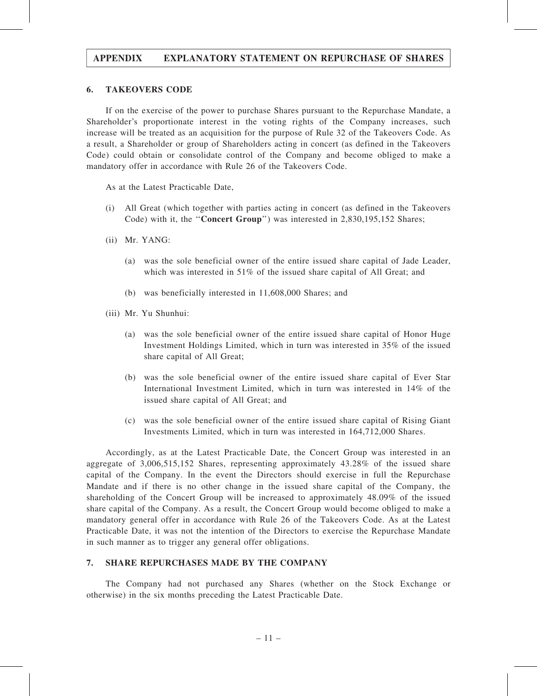## APPENDIX EXPLANATORY STATEMENT ON REPURCHASE OF SHARES

#### 6. TAKEOVERS CODE

If on the exercise of the power to purchase Shares pursuant to the Repurchase Mandate, a Shareholder's proportionate interest in the voting rights of the Company increases, such increase will be treated as an acquisition for the purpose of Rule 32 of the Takeovers Code. As a result, a Shareholder or group of Shareholders acting in concert (as defined in the Takeovers Code) could obtain or consolidate control of the Company and become obliged to make a mandatory offer in accordance with Rule 26 of the Takeovers Code.

As at the Latest Practicable Date,

- (i) All Great (which together with parties acting in concert (as defined in the Takeovers Code) with it, the "**Concert Group**") was interested in 2,830,195,152 Shares;
- (ii) Mr. YANG:
	- (a) was the sole beneficial owner of the entire issued share capital of Jade Leader, which was interested in 51% of the issued share capital of All Great; and
	- (b) was beneficially interested in 11,608,000 Shares; and
- (iii) Mr. Yu Shunhui:
	- (a) was the sole beneficial owner of the entire issued share capital of Honor Huge Investment Holdings Limited, which in turn was interested in 35% of the issued share capital of All Great;
	- (b) was the sole beneficial owner of the entire issued share capital of Ever Star International Investment Limited, which in turn was interested in 14% of the issued share capital of All Great; and
	- (c) was the sole beneficial owner of the entire issued share capital of Rising Giant Investments Limited, which in turn was interested in 164,712,000 Shares.

Accordingly, as at the Latest Practicable Date, the Concert Group was interested in an aggregate of 3,006,515,152 Shares, representing approximately 43.28% of the issued share capital of the Company. In the event the Directors should exercise in full the Repurchase Mandate and if there is no other change in the issued share capital of the Company, the shareholding of the Concert Group will be increased to approximately 48.09% of the issued share capital of the Company. As a result, the Concert Group would become obliged to make a mandatory general offer in accordance with Rule 26 of the Takeovers Code. As at the Latest Practicable Date, it was not the intention of the Directors to exercise the Repurchase Mandate in such manner as to trigger any general offer obligations.

#### 7. SHARE REPURCHASES MADE BY THE COMPANY

The Company had not purchased any Shares (whether on the Stock Exchange or otherwise) in the six months preceding the Latest Practicable Date.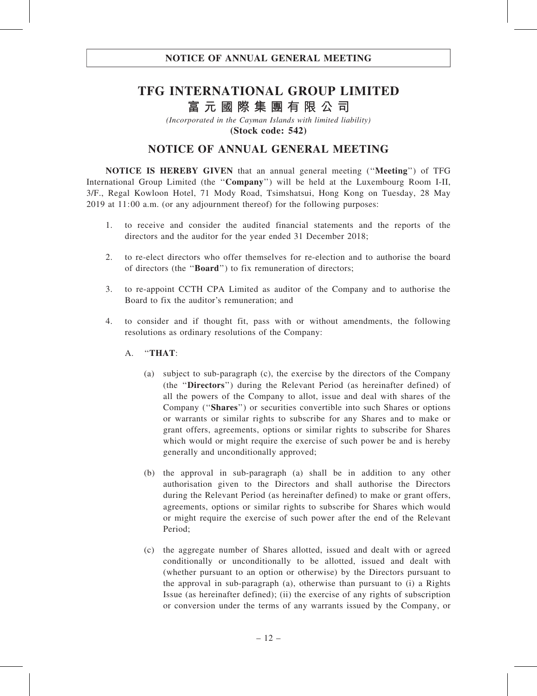# TFG INTERNATIONAL GROUP LIMITED 富 元 國 際 集 團 有 限 公 司

(Incorporated in the Cayman Islands with limited liability) (Stock code: 542)

## NOTICE OF ANNUAL GENERAL MEETING

NOTICE IS HEREBY GIVEN that an annual general meeting (''Meeting'') of TFG International Group Limited (the ''Company'') will be held at the Luxembourg Room I-II, 3/F., Regal Kowloon Hotel, 71 Mody Road, Tsimshatsui, Hong Kong on Tuesday, 28 May 2019 at 11:00 a.m. (or any adjournment thereof) for the following purposes:

- 1. to receive and consider the audited financial statements and the reports of the directors and the auditor for the year ended 31 December 2018;
- 2. to re-elect directors who offer themselves for re-election and to authorise the board of directors (the ''Board'') to fix remuneration of directors;
- 3. to re-appoint CCTH CPA Limited as auditor of the Company and to authorise the Board to fix the auditor's remuneration; and
- 4. to consider and if thought fit, pass with or without amendments, the following resolutions as ordinary resolutions of the Company:
	- A. ''THAT:
		- (a) subject to sub-paragraph (c), the exercise by the directors of the Company (the ''Directors'') during the Relevant Period (as hereinafter defined) of all the powers of the Company to allot, issue and deal with shares of the Company (''Shares'') or securities convertible into such Shares or options or warrants or similar rights to subscribe for any Shares and to make or grant offers, agreements, options or similar rights to subscribe for Shares which would or might require the exercise of such power be and is hereby generally and unconditionally approved;
		- (b) the approval in sub-paragraph (a) shall be in addition to any other authorisation given to the Directors and shall authorise the Directors during the Relevant Period (as hereinafter defined) to make or grant offers, agreements, options or similar rights to subscribe for Shares which would or might require the exercise of such power after the end of the Relevant Period;
		- (c) the aggregate number of Shares allotted, issued and dealt with or agreed conditionally or unconditionally to be allotted, issued and dealt with (whether pursuant to an option or otherwise) by the Directors pursuant to the approval in sub-paragraph (a), otherwise than pursuant to (i) a Rights Issue (as hereinafter defined); (ii) the exercise of any rights of subscription or conversion under the terms of any warrants issued by the Company, or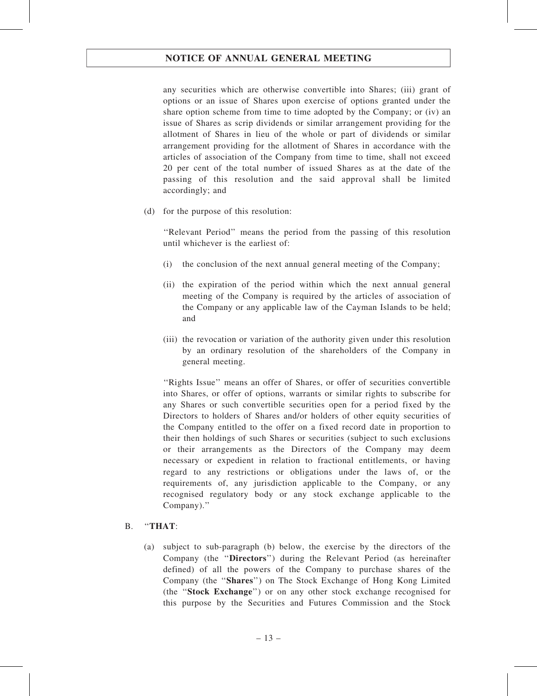## NOTICE OF ANNUAL GENERAL MEETING

any securities which are otherwise convertible into Shares; (iii) grant of options or an issue of Shares upon exercise of options granted under the share option scheme from time to time adopted by the Company; or (iv) an issue of Shares as scrip dividends or similar arrangement providing for the allotment of Shares in lieu of the whole or part of dividends or similar arrangement providing for the allotment of Shares in accordance with the articles of association of the Company from time to time, shall not exceed 20 per cent of the total number of issued Shares as at the date of the passing of this resolution and the said approval shall be limited accordingly; and

(d) for the purpose of this resolution:

''Relevant Period'' means the period from the passing of this resolution until whichever is the earliest of:

- (i) the conclusion of the next annual general meeting of the Company;
- (ii) the expiration of the period within which the next annual general meeting of the Company is required by the articles of association of the Company or any applicable law of the Cayman Islands to be held; and
- (iii) the revocation or variation of the authority given under this resolution by an ordinary resolution of the shareholders of the Company in general meeting.

''Rights Issue'' means an offer of Shares, or offer of securities convertible into Shares, or offer of options, warrants or similar rights to subscribe for any Shares or such convertible securities open for a period fixed by the Directors to holders of Shares and/or holders of other equity securities of the Company entitled to the offer on a fixed record date in proportion to their then holdings of such Shares or securities (subject to such exclusions or their arrangements as the Directors of the Company may deem necessary or expedient in relation to fractional entitlements, or having regard to any restrictions or obligations under the laws of, or the requirements of, any jurisdiction applicable to the Company, or any recognised regulatory body or any stock exchange applicable to the Company).''

## B. ''THAT:

(a) subject to sub-paragraph (b) below, the exercise by the directors of the Company (the ''Directors'') during the Relevant Period (as hereinafter defined) of all the powers of the Company to purchase shares of the Company (the ''Shares'') on The Stock Exchange of Hong Kong Limited (the ''Stock Exchange'') or on any other stock exchange recognised for this purpose by the Securities and Futures Commission and the Stock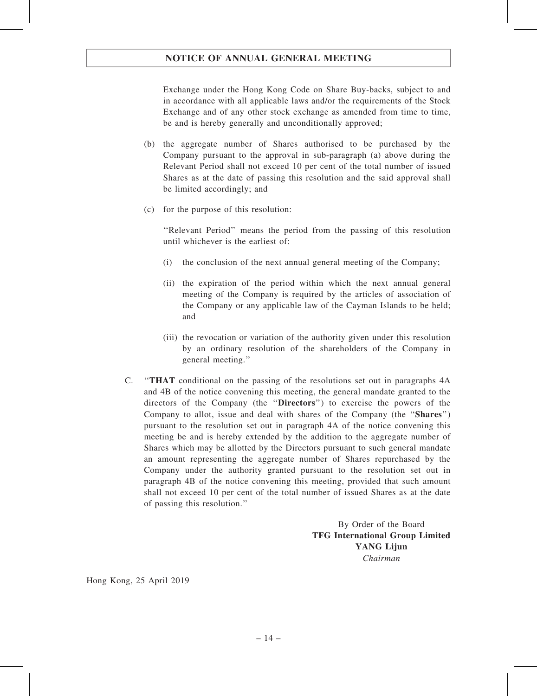## NOTICE OF ANNUAL GENERAL MEETING

Exchange under the Hong Kong Code on Share Buy-backs, subject to and in accordance with all applicable laws and/or the requirements of the Stock Exchange and of any other stock exchange as amended from time to time, be and is hereby generally and unconditionally approved;

- (b) the aggregate number of Shares authorised to be purchased by the Company pursuant to the approval in sub-paragraph (a) above during the Relevant Period shall not exceed 10 per cent of the total number of issued Shares as at the date of passing this resolution and the said approval shall be limited accordingly; and
- (c) for the purpose of this resolution:

''Relevant Period'' means the period from the passing of this resolution until whichever is the earliest of:

- (i) the conclusion of the next annual general meeting of the Company;
- (ii) the expiration of the period within which the next annual general meeting of the Company is required by the articles of association of the Company or any applicable law of the Cayman Islands to be held; and
- (iii) the revocation or variation of the authority given under this resolution by an ordinary resolution of the shareholders of the Company in general meeting.''
- C. ''THAT conditional on the passing of the resolutions set out in paragraphs 4A and 4B of the notice convening this meeting, the general mandate granted to the directors of the Company (the ''Directors'') to exercise the powers of the Company to allot, issue and deal with shares of the Company (the "Shares") pursuant to the resolution set out in paragraph 4A of the notice convening this meeting be and is hereby extended by the addition to the aggregate number of Shares which may be allotted by the Directors pursuant to such general mandate an amount representing the aggregate number of Shares repurchased by the Company under the authority granted pursuant to the resolution set out in paragraph 4B of the notice convening this meeting, provided that such amount shall not exceed 10 per cent of the total number of issued Shares as at the date of passing this resolution.''

By Order of the Board TFG International Group Limited YANG Lijun Chairman

Hong Kong, 25 April 2019